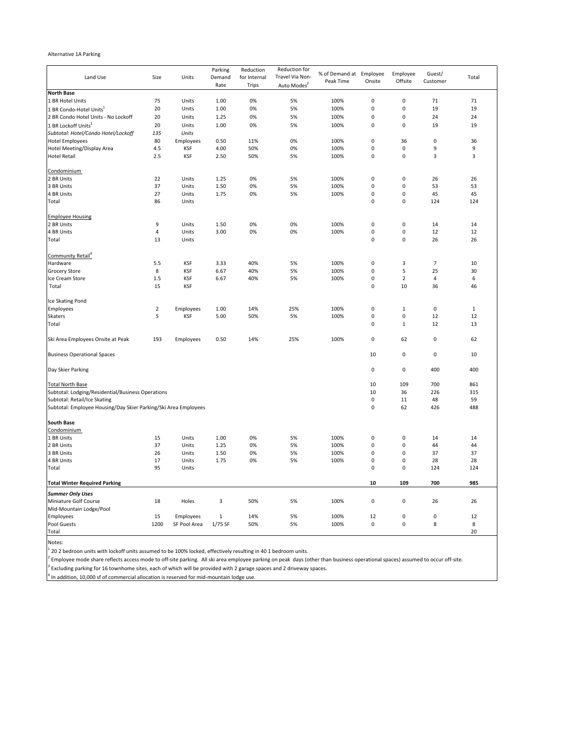## Alternative 1A Parking

| Land Use                                                        | Size           | Units        | Parking<br>Demand<br>Rate | Reduction<br>for Internal<br><b>Trips</b> | Reduction for<br>Travel Via Non-<br>Auto Modes <sup>2</sup> | % of Demand at Employee<br>Peak Time | Onsite      | Employee<br>Offsite | Guest/<br>Customer | Total        |
|-----------------------------------------------------------------|----------------|--------------|---------------------------|-------------------------------------------|-------------------------------------------------------------|--------------------------------------|-------------|---------------------|--------------------|--------------|
| <b>North Base</b>                                               |                |              |                           |                                           |                                                             |                                      |             |                     |                    |              |
| 1 BR Hotel Units                                                | 75             | Units        | 1.00                      | 0%                                        | 5%                                                          | 100%                                 | $\pmb{0}$   | $\pmb{0}$           | 71                 | 71           |
| 1 BR Condo-Hotel Units1                                         | 20             | Units        | 1.00                      | 0%                                        | 5%                                                          | 100%                                 | $\mathbf 0$ | $\mathbf 0$         | 19                 | 19           |
| 2 BR Condo Hotel Units - No Lockoff                             | 20             | Units        | 1.25                      | 0%                                        | 5%                                                          | 100%                                 | $\pmb{0}$   | $\pmb{0}$           | 24                 | 24           |
| 1 BR Lockoff Units <sup>1</sup>                                 | 20             | Units        | 1.00                      | 0%                                        | 5%                                                          | 100%                                 | $\pmb{0}$   | $\pmb{0}$           | 19                 | 19           |
| Subtotal: Hotel/Condo Hotel/Lockoff                             | 135            | Units        |                           |                                           |                                                             |                                      |             |                     |                    |              |
| <b>Hotel Employees</b>                                          | 80             | Employees    | 0.50                      | 11%                                       | 0%                                                          | 100%                                 | $\pmb{0}$   | 36                  | 0                  | 36           |
| Hotel Meeting/Display Area                                      | 4.5            | <b>KSF</b>   | 4.00                      | 50%                                       | 0%                                                          | 100%                                 | $\pmb{0}$   | $\pmb{0}$           | 9                  | 9            |
| <b>Hotel Retail</b>                                             | 2.5            | <b>KSF</b>   | 2.50                      | 50%                                       | 5%                                                          | 100%                                 | $\mathbf 0$ | $\mathbf 0$         | 3                  | 3            |
| Condominium                                                     |                |              |                           |                                           |                                                             |                                      |             |                     |                    |              |
| 2 BR Units                                                      | 22             | Units        | 1.25                      | 0%                                        | 5%                                                          | 100%                                 | 0           | $\pmb{0}$           | 26                 | 26           |
| 3 BR Units                                                      | 37             | Units        | 1.50                      | 0%                                        | 5%                                                          | 100%                                 | 0           | $\pmb{0}$           | 53                 | 53           |
| 4 BR Units                                                      | 27             | Units        | 1.75                      | 0%                                        | 5%                                                          | 100%                                 | $\mathbf 0$ | $\pmb{0}$           | 45                 | 45           |
| Total                                                           | 86             | Units        |                           |                                           |                                                             |                                      | $\pmb{0}$   | $\pmb{0}$           | 124                | 124          |
| <b>Employee Housing</b>                                         |                |              |                           |                                           |                                                             |                                      |             |                     |                    |              |
| 2 BR Units                                                      | 9              | Units        | 1.50                      | 0%                                        | 0%                                                          | 100%                                 | 0           | $\pmb{0}$           | 14                 | 14           |
| 4 BR Units                                                      | 4              | Units        | 3.00                      | 0%                                        | 0%                                                          | 100%                                 | $\pmb{0}$   | 0                   | 12                 | 12           |
| Total                                                           | 13             | Units        |                           |                                           |                                                             |                                      | $\pmb{0}$   | $\pmb{0}$           | 26                 | 26           |
| Community Retail <sup>4</sup>                                   |                |              |                           |                                           |                                                             |                                      |             |                     |                    |              |
| Hardware                                                        | 5.5            | <b>KSF</b>   | 3.33                      | 40%                                       | 5%                                                          | 100%                                 | $\pmb{0}$   | 3                   | $\overline{7}$     | 10           |
| <b>Grocery Store</b>                                            | $\,$ 8 $\,$    | <b>KSF</b>   | 6.67                      | 40%                                       | 5%                                                          | 100%                                 | 0           | 5                   | 25                 | 30           |
| Ice Cream Store                                                 | $1.5\,$        | <b>KSF</b>   | 6.67                      | 40%                                       | 5%                                                          | 100%                                 | $\pmb{0}$   | $\overline{2}$      | 4                  | 6            |
| Total                                                           | 15             | <b>KSF</b>   |                           |                                           |                                                             |                                      | $\pmb{0}$   | 10                  | 36                 | 46           |
|                                                                 |                |              |                           |                                           |                                                             |                                      |             |                     |                    |              |
| Ice Skating Pond                                                |                |              |                           |                                           |                                                             |                                      |             |                     |                    |              |
| Employees                                                       | $\overline{2}$ | Employees    | 1.00                      | 14%                                       | 25%                                                         | 100%                                 | 0           | $\mathbf{1}$        | $\pmb{0}$          | $\mathbf{1}$ |
| <b>Skaters</b>                                                  | 5              | <b>KSF</b>   | 5.00                      | 50%                                       | 5%                                                          | 100%                                 | $\pmb{0}$   | $\mathbf 0$         | 12                 | 12           |
| Total                                                           |                |              |                           |                                           |                                                             |                                      | $\pmb{0}$   | $\mathbf{1}$        | 12                 | 13           |
| Ski Area Employees Onsite at Peak                               | 193            | Employees    | 0.50                      | 14%                                       | 25%                                                         | 100%                                 | $\pmb{0}$   | 62                  | $\pmb{0}$          | 62           |
| <b>Business Operational Spaces</b>                              |                |              |                           |                                           |                                                             |                                      | 10          | $\mathbf 0$         | 0                  | 10           |
| Day Skier Parking                                               |                |              |                           |                                           |                                                             |                                      | $\pmb{0}$   | $\pmb{0}$           | 400                | 400          |
| <b>Total North Base</b>                                         |                |              |                           |                                           |                                                             |                                      | 10          | 109                 | 700                | 861          |
| Subtotal: Lodging/Residential/Business Operations               |                |              |                           |                                           |                                                             |                                      | 10          | 36                  | 226                | 315          |
| Subtotal: Retail/Ice Skating                                    |                |              |                           |                                           |                                                             |                                      | 0           | 11                  | 48                 | 59           |
| Subtotal: Employee Housing/Day Skier Parking/Ski Area Employees |                |              |                           |                                           |                                                             |                                      | $\pmb{0}$   | 62                  | 426                | 488          |
| <b>South Base</b>                                               |                |              |                           |                                           |                                                             |                                      |             |                     |                    |              |
| Condominium                                                     |                |              |                           |                                           |                                                             |                                      |             |                     |                    |              |
| 1 BR Units                                                      | 15             | Units        | 1.00                      | 0%                                        | 5%                                                          | 100%                                 | 0           | 0                   | 14                 | 14           |
| 2 BR Units                                                      | 37             | Units        | 1.25                      | 0%                                        | 5%                                                          | 100%                                 | 0           | $\pmb{0}$           | 44                 | 44           |
| 3 BR Units                                                      | 26             | Units        | 1.50                      | 0%                                        | 5%                                                          | 100%                                 | 0           | $\pmb{0}$           | 37                 | 37           |
| 4 BR Units                                                      | 17             | Units        | 1.75                      | 0%                                        | 5%                                                          | 100%                                 | $\pmb{0}$   | $\pmb{0}$           | 28                 | 28           |
| Total                                                           | 95             | Units        |                           |                                           |                                                             |                                      | $\pmb{0}$   | $\mathbf 0$         | 124                | 124          |
| <b>Total Winter Required Parking</b>                            |                |              |                           |                                           |                                                             |                                      | 10          | 109                 | 700                | 985          |
| <b>Summer Only Uses</b>                                         |                |              |                           |                                           |                                                             |                                      |             |                     |                    |              |
| Miniature Golf Course<br>Mid-Mountain Lodge/Pool                | 18             | Holes        | 3                         | 50%                                       | 5%                                                          | 100%                                 | $\pmb{0}$   | $\pmb{0}$           | 26                 | 26           |
| Employees                                                       | 15             | Employees    | $\mathbf{1}$              | 14%                                       | 5%                                                          | 100%                                 | 12          | $\mathbf 0$         | 0                  | 12           |
| <b>Pool Guests</b>                                              | 1200           | SF Pool Area | 1/75 SF                   | 50%                                       | 5%                                                          | 100%                                 | $\pmb{0}$   | $\pmb{0}$           | 8                  | 8            |
| Total                                                           |                |              |                           |                                           |                                                             |                                      |             |                     |                    | 20           |

Notes:

 $1$  20 2 bedroon units with lockoff units assumed to be 100% locked, effectively resulting in 40 1 bedroom units.

<sup>2</sup> Employee mode share reflects access mode to off-site parking. All ski area employee parking on peak days (other than business operational spaces) assumed to occur off-site.

 $^3$  Excluding parking for 16 townhome sites, each of which will be provided with 2 garage spaces and 2 driveway spaces.

 $4$  In addition, 10,000 sf of commercial allocation is reserved for mid-mountain lodge use.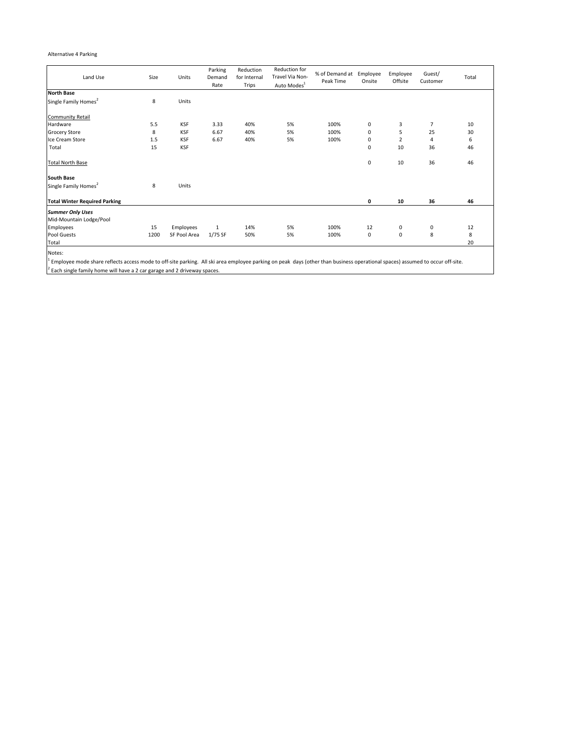## Alternative 4 Parking

| Land Use                             | Size | Units        | Parking<br>Demand<br>Rate | Reduction<br>for Internal<br>Trips | Reduction for<br>Travel Via Non-<br>Auto Modes <sup>1</sup> | % of Demand at<br>Peak Time | Employee<br>Onsite | Employee<br>Offsite | Guest/<br>Customer | Total |
|--------------------------------------|------|--------------|---------------------------|------------------------------------|-------------------------------------------------------------|-----------------------------|--------------------|---------------------|--------------------|-------|
| <b>North Base</b>                    |      |              |                           |                                    |                                                             |                             |                    |                     |                    |       |
| Single Family Homes <sup>2</sup>     | 8    | Units        |                           |                                    |                                                             |                             |                    |                     |                    |       |
| <b>Community Retail</b>              |      |              |                           |                                    |                                                             |                             |                    |                     |                    |       |
| Hardware                             | 5.5  | <b>KSF</b>   | 3.33                      | 40%                                | 5%                                                          | 100%                        | 0                  | 3                   | $\overline{7}$     | 10    |
| <b>Grocery Store</b>                 | 8    | <b>KSF</b>   | 6.67                      | 40%                                | 5%                                                          | 100%                        | 0                  | 5                   | 25                 | 30    |
| Ice Cream Store                      | 1.5  | <b>KSF</b>   | 6.67                      | 40%                                | 5%                                                          | 100%                        | 0                  | 2                   | 4                  | 6     |
| Total                                | 15   | <b>KSF</b>   |                           |                                    |                                                             |                             | 0                  | 10                  | 36                 | 46    |
| <b>Total North Base</b>              |      |              |                           |                                    |                                                             |                             | 0                  | 10                  | 36                 | 46    |
| <b>South Base</b>                    |      |              |                           |                                    |                                                             |                             |                    |                     |                    |       |
| Single Family Homes <sup>2</sup>     | 8    | Units        |                           |                                    |                                                             |                             |                    |                     |                    |       |
| <b>Total Winter Required Parking</b> |      |              |                           |                                    |                                                             |                             | 0                  | 10                  | 36                 | 46    |
| <b>Summer Only Uses</b>              |      |              |                           |                                    |                                                             |                             |                    |                     |                    |       |
| Mid-Mountain Lodge/Pool              |      |              |                           |                                    |                                                             |                             |                    |                     |                    |       |
| Employees                            | 15   | Employees    | 1                         | 14%                                | 5%                                                          | 100%                        | 12                 | 0                   | $\mathbf 0$        | 12    |
| <b>Pool Guests</b>                   | 1200 | SF Pool Area | 1/75 SF                   | 50%                                | 5%                                                          | 100%                        | 0                  | $\mathbf 0$         | 8                  | 8     |
| Total                                |      |              |                           |                                    |                                                             |                             |                    |                     |                    | 20    |
| Notes:                               |      |              |                           |                                    |                                                             |                             |                    |                     |                    |       |

Notes:<br><sup>1</sup> Employee mode share reflects access mode to off-site parking. All ski area employee parking on peak days (other than business operational spaces) assumed to occur off-site.  $2^{2}$  Each single family home will have a 2 car garage and 2 driveway spaces.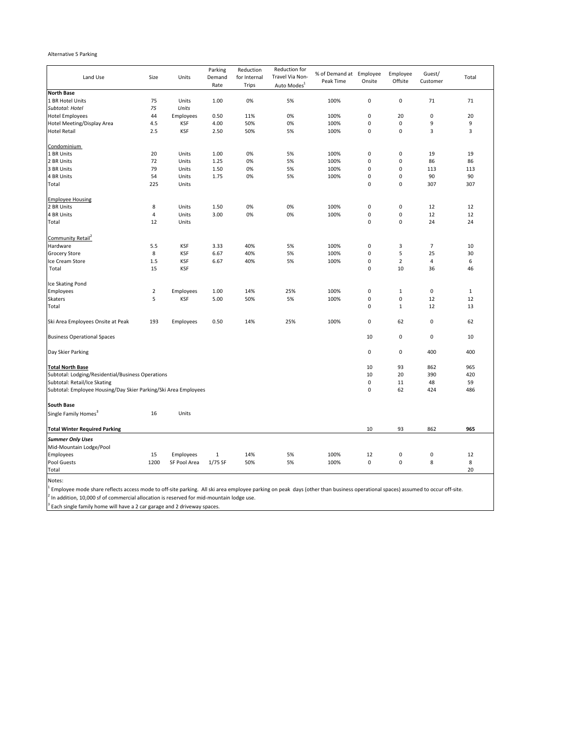## Alternative 5 Parking

| Land Use                                                        | Size           | Units        | Parking<br>Demand | Reduction<br>for Internal | Reduction for<br>Travel Via Non- | % of Demand at Employee<br>Peak Time | Onsite    | Employee<br>Offsite | Guest/<br>Customer | Total        |
|-----------------------------------------------------------------|----------------|--------------|-------------------|---------------------------|----------------------------------|--------------------------------------|-----------|---------------------|--------------------|--------------|
| <b>North Base</b>                                               |                |              | Rate              | <b>Trips</b>              | Auto Modes <sup>1</sup>          |                                      |           |                     |                    |              |
| 1 BR Hotel Units                                                | 75             | Units        | 1.00              | 0%                        | 5%                               | 100%                                 | 0         | $\pmb{0}$           | 71                 | 71           |
| Subtotal: Hotel                                                 | 75             | Units        |                   |                           |                                  |                                      |           |                     |                    |              |
| <b>Hotel Employees</b>                                          | 44             | Employees    | 0.50              | 11%                       | 0%                               | 100%                                 | 0         | 20                  | 0                  | 20           |
| Hotel Meeting/Display Area                                      | 4.5            | <b>KSF</b>   | 4.00              | 50%                       | 0%                               | 100%                                 | 0         | $\pmb{0}$           | 9                  | 9            |
| <b>Hotel Retail</b>                                             | 2.5            | <b>KSF</b>   | 2.50              | 50%                       | 5%                               | 100%                                 | 0         | $\pmb{0}$           | 3                  | 3            |
|                                                                 |                |              |                   |                           |                                  |                                      |           |                     |                    |              |
| Condominium                                                     |                |              |                   |                           |                                  |                                      |           |                     |                    |              |
| 1 BR Units                                                      | 20             | Units        | 1.00              | 0%                        | 5%                               | 100%                                 | 0         | $\pmb{0}$           | 19                 | 19           |
| 2 BR Units                                                      | 72             | Units        | 1.25              | 0%                        | 5%                               | 100%                                 | 0         | $\pmb{0}$           | 86                 | 86           |
| 3 BR Units                                                      | 79             | Units        | 1.50              | 0%                        | 5%                               | 100%                                 | 0         | $\pmb{0}$           | 113                | 113          |
| 4 BR Units                                                      | 54             | Units        | 1.75              | 0%                        | 5%                               | 100%                                 | 0         | $\pmb{0}$           | 90                 | 90           |
| Total                                                           | 225            | Units        |                   |                           |                                  |                                      | 0         | $\pmb{0}$           | 307                | 307          |
| <b>Employee Housing</b>                                         |                |              |                   |                           |                                  |                                      |           |                     |                    |              |
| 2 BR Units                                                      | 8              | Units        | 1.50              | 0%                        | 0%                               | 100%                                 | 0         | $\pmb{0}$           | 12                 | 12           |
| 4 BR Units                                                      | $\overline{4}$ | Units        | 3.00              | 0%                        | 0%                               | 100%                                 | 0         | $\pmb{0}$           | 12                 | 12           |
| Total                                                           | 12             | Units        |                   |                           |                                  |                                      | 0         | $\pmb{0}$           | 24                 | 24           |
| Community Retail                                                |                |              |                   |                           |                                  |                                      |           |                     |                    |              |
| Hardware                                                        | 5.5            | <b>KSF</b>   | 3.33              | 40%                       | 5%                               | 100%                                 | 0         | 3                   | $\overline{7}$     | 10           |
| <b>Grocery Store</b>                                            | 8              | <b>KSF</b>   | 6.67              | 40%                       | 5%                               | 100%                                 | 0         | 5                   | 25                 | 30           |
| Ice Cream Store                                                 | 1.5            | <b>KSF</b>   | 6.67              | 40%                       | 5%                               | 100%                                 | 0         | $\overline{2}$      | $\overline{a}$     | 6            |
| Total                                                           | 15             | <b>KSF</b>   |                   |                           |                                  |                                      | 0         | 10                  | 36                 | 46           |
| Ice Skating Pond                                                |                |              |                   |                           |                                  |                                      |           |                     |                    |              |
| Employees                                                       | $\overline{2}$ | Employees    | 1.00              | 14%                       | 25%                              | 100%                                 | 0         | $\mathbf 1$         | 0                  | $\mathbf{1}$ |
| Skaters                                                         | 5              | <b>KSF</b>   | 5.00              | 50%                       | 5%                               | 100%                                 | 0         | $\pmb{0}$           | 12                 | 12           |
| Total                                                           |                |              |                   |                           |                                  |                                      | 0         | $\mathbf{1}$        | 12                 | 13           |
| Ski Area Employees Onsite at Peak                               | 193            | Employees    | 0.50              | 14%                       | 25%                              | 100%                                 | 0         | 62                  | 0                  | 62           |
| <b>Business Operational Spaces</b>                              |                |              |                   |                           |                                  |                                      | 10        | $\pmb{0}$           | $\mathbf 0$        | 10           |
| Day Skier Parking                                               |                |              |                   |                           |                                  |                                      | 0         | $\pmb{0}$           | 400                | 400          |
| <b>Total North Base</b>                                         |                |              |                   |                           |                                  |                                      | 10        | 93                  | 862                | 965          |
| Subtotal: Lodging/Residential/Business Operations               |                |              |                   |                           |                                  |                                      | 10        | 20                  | 390                | 420          |
| Subtotal: Retail/Ice Skating                                    |                |              |                   |                           |                                  |                                      | $\pmb{0}$ | 11                  | 48                 | 59           |
| Subtotal: Employee Housing/Day Skier Parking/Ski Area Employees |                |              |                   |                           |                                  |                                      | 0         | 62                  | 424                | 486          |
| <b>South Base</b>                                               |                |              |                   |                           |                                  |                                      |           |                     |                    |              |
| Single Family Homes <sup>3</sup>                                | 16             | Units        |                   |                           |                                  |                                      |           |                     |                    |              |
| <b>Total Winter Required Parking</b>                            |                |              |                   |                           |                                  |                                      | 10        | 93                  | 862                | 965          |
| <b>Summer Only Uses</b>                                         |                |              |                   |                           |                                  |                                      |           |                     |                    |              |
| Mid-Mountain Lodge/Pool                                         |                |              |                   |                           |                                  |                                      |           |                     |                    |              |
| Employees                                                       | 15             | Employees    | $\,1\,$           | 14%                       | 5%                               | 100%                                 | 12        | $\pmb{0}$           | $\mathbf 0$        | 12           |
| Pool Guests                                                     | 1200           | SF Pool Area | 1/75 SF           | 50%                       | 5%                               | 100%                                 | $\pmb{0}$ | $\pmb{0}$           | 8                  | 8            |
| Total                                                           |                |              |                   |                           |                                  |                                      |           |                     |                    | 20           |
| Notes:                                                          |                |              |                   |                           |                                  |                                      |           |                     |                    |              |

 $1$  Employee mode share reflects access mode to off-site parking. All ski area employee parking on peak days (other than business operational spaces) assumed to occur off-site.  $^{2}$  In addition, 10,000 sf of commercial allocation is reserved for mid-mountain lodge use.

<sup>3</sup> Each single family home will have a 2 car garage and 2 driveway spaces.